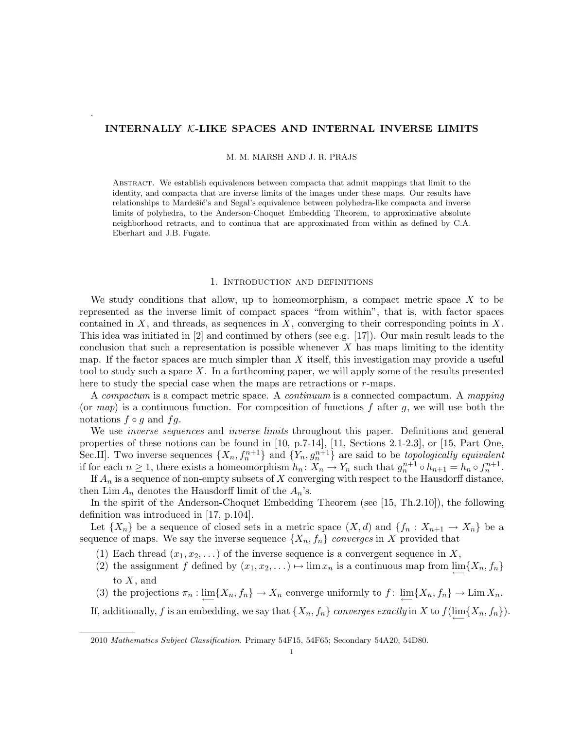# INTERNALLY K-LIKE SPACES AND INTERNAL INVERSE LIMITS

.

M. M. MARSH AND J. R. PRAJS

Abstract. We establish equivalences between compacta that admit mappings that limit to the identity, and compacta that are inverse limits of the images under these maps. Our results have relationships to Mardešić's and Segal's equivalence between polyhedra-like compacta and inverse limits of polyhedra, to the Anderson-Choquet Embedding Theorem, to approximative absolute neighborhood retracts, and to continua that are approximated from within as defined by C.A. Eberhart and J.B. Fugate.

#### 1. Introduction and definitions

We study conditions that allow, up to homeomorphism, a compact metric space  $X$  to be represented as the inverse limit of compact spaces "from within", that is, with factor spaces contained in  $X$ , and threads, as sequences in  $X$ , converging to their corresponding points in  $X$ . This idea was initiated in [2] and continued by others (see e.g. [17]). Our main result leads to the conclusion that such a representation is possible whenever  $X$  has maps limiting to the identity map. If the factor spaces are much simpler than  $X$  itself, this investigation may provide a useful tool to study such a space X. In a forthcoming paper, we will apply some of the results presented here to study the special case when the maps are retractions or r-maps.

A compactum is a compact metric space. A continuum is a connected compactum. A mapping (or map) is a continuous function. For composition of functions f after g, we will use both the notations  $f \circ g$  and  $fg$ .

We use *inverse sequences* and *inverse limits* throughout this paper. Definitions and general properties of these notions can be found in [10, p.7-14], [11, Sections 2.1-2.3], or [15, Part One, Sec.II]. Two inverse sequences  $\{X_n, f_n^{n+1}\}\$ and  $\{Y_n, g_n^{n+1}\}\$ are said to be *topologically equivalent* if for each  $n \geq 1$ , there exists a homeomorphism  $h_n \colon X_n \to Y_n$  such that  $g_n^{n+1} \circ h_{n+1} = h_n \circ f_n^{n+1}$ .

If  $A_n$  is a sequence of non-empty subsets of X converging with respect to the Hausdorff distance, then  $\lim A_n$  denotes the Hausdorff limit of the  $A_n$ 's.

In the spirit of the Anderson-Choquet Embedding Theorem (see [15, Th.2.10]), the following definition was introduced in [17, p.104].

Let  $\{X_n\}$  be a sequence of closed sets in a metric space  $(X, d)$  and  $\{f_n : X_{n+1} \to X_n\}$  be a sequence of maps. We say the inverse sequence  $\{X_n, f_n\}$  converges in X provided that

- (1) Each thread  $(x_1, x_2, \ldots)$  of the inverse sequence is a convergent sequence in X,
- (2) the assignment f defined by  $(x_1, x_2, ...) \rightarrow \lim x_n$  is a continuous map from  $\lim_{\longleftarrow} \{X_n, f_n\}$ to  $X$ , and
- (3) the projections  $\pi_n : \lim_{n \to \infty} \{X_n, f_n\} \to X_n$  converge uniformly to  $f : \lim_{n \to \infty} \{X_n, f_n\} \to \lim_{n \to \infty} X_n$ .

If, additionally, f is an embedding, we say that  $\{X_n, f_n\}$  converges exactly in X to  $f(\varprojlim\{X_n, f_n\})$ .

2010 Mathematics Subject Classification. Primary 54F15, 54F65; Secondary 54A20, 54D80.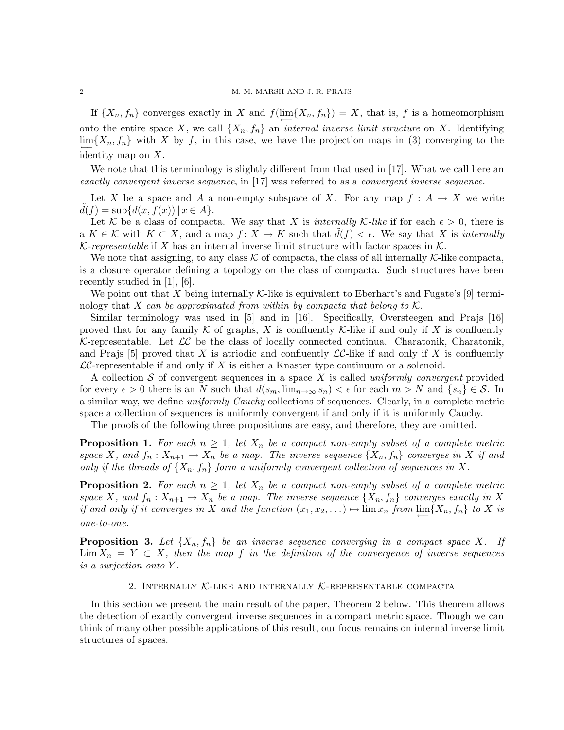## 2 M. M. MARSH AND J. R. PRAJS

If  $\{X_n, f_n\}$  converges exactly in X and  $f(\lim_{\longleftarrow} \{X_n, f_n\}) = X$ , that is, f is a homeomorphism onto the entire space X, we call  $\{X_n, f_n\}$  an *internal inverse limit structure* on X. Identifying  $\lim_{n \to \infty}$ {X<sub>n</sub>, f<sub>n</sub>} with X by f, in this case, we have the projection maps in (3) converging to the identity map on X.

We note that this terminology is slightly different from that used in [17]. What we call here an exactly convergent inverse sequence, in [17] was referred to as a convergent inverse sequence.

Let X be a space and A a non-empty subspace of X. For any map  $f : A \to X$  we write  $d(f) = \sup \{d(x, f(x)) \mid x \in A\}.$ 

Let K be a class of compacta. We say that X is internally K-like if for each  $\epsilon > 0$ , there is a  $K \in \mathcal{K}$  with  $K \subset X$ , and a map  $f: X \to K$  such that  $d(f) < \epsilon$ . We say that X is internally K-representable if X has an internal inverse limit structure with factor spaces in  $\mathcal K$ .

We note that assigning, to any class  $K$  of compacta, the class of all internally K-like compacta, is a closure operator defining a topology on the class of compacta. Such structures have been recently studied in [1], [6].

We point out that X being internally K-like is equivalent to Eberhart's and Fugate's  $[9]$  terminology that X can be approximated from within by compacta that belong to  $\mathcal K$ .

Similar terminology was used in [5] and in [16]. Specifically, Oversteegen and Prajs [16] proved that for any family  $K$  of graphs, X is confluently K-like if and only if X is confluently K-representable. Let  $LC$  be the class of locally connected continua. Charatonik, Charatonik, and Prajs [5] proved that X is atriodic and confluently  $\mathcal{LC}$ -like if and only if X is confluently  $LC$ -representable if and only if X is either a Knaster type continuum or a solenoid.

A collection S of convergent sequences in a space X is called uniformly convergent provided for every  $\epsilon > 0$  there is an N such that  $d(s_m, \lim_{n \to \infty} s_n) < \epsilon$  for each  $m > N$  and  $\{s_n\} \in \mathcal{S}$ . In a similar way, we define uniformly Cauchy collections of sequences. Clearly, in a complete metric space a collection of sequences is uniformly convergent if and only if it is uniformly Cauchy.

The proofs of the following three propositions are easy, and therefore, they are omitted.

**Proposition 1.** For each  $n \geq 1$ , let  $X_n$  be a compact non-empty subset of a complete metric space X, and  $f_n: X_{n+1} \to X_n$  be a map. The inverse sequence  $\{X_n, f_n\}$  converges in X if and only if the threads of  $\{X_n, f_n\}$  form a uniformly convergent collection of sequences in X.

**Proposition 2.** For each  $n \geq 1$ , let  $X_n$  be a compact non-empty subset of a complete metric space X, and  $f_n: X_{n+1} \to X_n$  be a map. The inverse sequence  $\{X_n, f_n\}$  converges exactly in X if and only if it converges in X and the function  $(x_1, x_2, ...)$   $\mapsto$   $\lim x_n$  from  $\underleftarrow{\lim} \{X_n, f_n\}$  to X is one-to-one.

**Proposition 3.** Let  $\{X_n, f_n\}$  be an inverse sequence converging in a compact space X. If  $\lim X_n = Y \subset X$ , then the map f in the definition of the convergence of inverse sequences is a surjection onto Y .

## 2. INTERNALLY  $K$ -LIKE AND INTERNALLY  $K$ -REPRESENTABLE COMPACTA

In this section we present the main result of the paper, Theorem 2 below. This theorem allows the detection of exactly convergent inverse sequences in a compact metric space. Though we can think of many other possible applications of this result, our focus remains on internal inverse limit structures of spaces.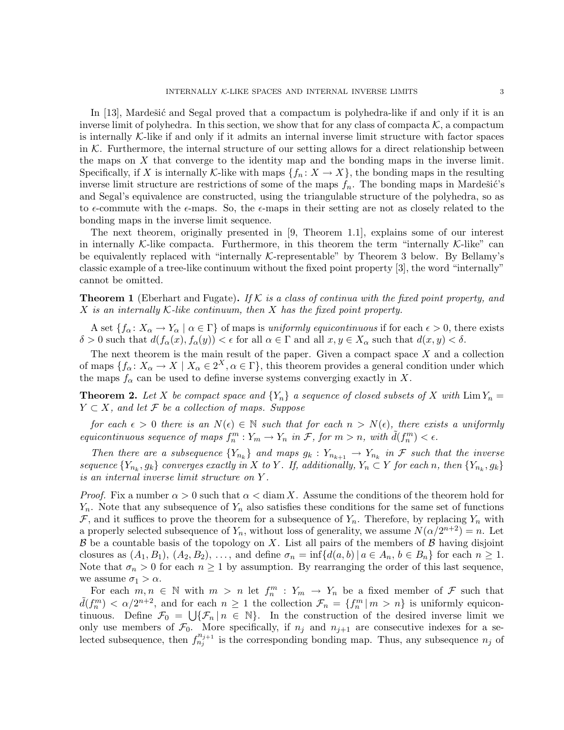In  $[13]$ , Mardešić and Segal proved that a compactum is polyhedra-like if and only if it is an inverse limit of polyhedra. In this section, we show that for any class of compacta  $\mathcal{K}$ , a compactum is internally  $K$ -like if and only if it admits an internal inverse limit structure with factor spaces in  $K$ . Furthermore, the internal structure of our setting allows for a direct relationship between the maps on X that converge to the identity map and the bonding maps in the inverse limit. Specifically, if X is internally K-like with maps  $\{f_n : X \to X\}$ , the bonding maps in the resulting inverse limit structure are restrictions of some of the maps  $f_n$ . The bonding maps in Mardešić's and Segal's equivalence are constructed, using the triangulable structure of the polyhedra, so as to  $\epsilon$ -commute with the  $\epsilon$ -maps. So, the  $\epsilon$ -maps in their setting are not as closely related to the bonding maps in the inverse limit sequence.

The next theorem, originally presented in [9, Theorem 1.1], explains some of our interest in internally K-like compacta. Furthermore, in this theorem the term "internally K-like" can be equivalently replaced with "internally  $K$ -representable" by Theorem 3 below. By Bellamy's classic example of a tree-like continuum without the fixed point property [3], the word "internally" cannot be omitted.

**Theorem 1** (Eberhart and Fugate). If K is a class of continua with the fixed point property, and  $X$  is an internally  $K$ -like continuum, then  $X$  has the fixed point property.

A set  $\{f_{\alpha}: X_{\alpha}\to Y_{\alpha} \mid \alpha \in \Gamma\}$  of maps is uniformly equicontinuous if for each  $\epsilon > 0$ , there exists  $\delta > 0$  such that  $d(f_\alpha(x), f_\alpha(y)) < \epsilon$  for all  $\alpha \in \Gamma$  and all  $x, y \in X_\alpha$  such that  $d(x, y) < \delta$ .

The next theorem is the main result of the paper. Given a compact space  $X$  and a collection of maps  $\{f_{\alpha}: X_{\alpha}\to X \mid X_{\alpha}\in 2^X, \alpha\in \Gamma\}$ , this theorem provides a general condition under which the maps  $f_{\alpha}$  can be used to define inverse systems converging exactly in X.

**Theorem 2.** Let X be compact space and  ${Y_n}$  a sequence of closed subsets of X with  $\lim Y_n =$  $Y \subset X$ , and let F be a collection of maps. Suppose

for each  $\epsilon > 0$  there is an  $N(\epsilon) \in \mathbb{N}$  such that for each  $n > N(\epsilon)$ , there exists a uniformly equicontinuous sequence of maps  $f_n^m: Y_m \to Y_n$  in  $\mathcal{F}$ , for  $m > n$ , with  $\tilde{d}(f_n^m) < \epsilon$ .

Then there are a subsequence  ${Y_{n_k}}$  and maps  $g_k: Y_{n_{k+1}} \to Y_{n_k}$  in F such that the inverse sequence  $\{Y_{n_k}, g_k\}$  converges exactly in X to Y. If, additionally,  $Y_n \subset Y$  for each n, then  $\{Y_{n_k}, g_k\}$ is an internal inverse limit structure on Y .

*Proof.* Fix a number  $\alpha > 0$  such that  $\alpha < \text{diam } X$ . Assume the conditions of the theorem hold for  $Y_n$ . Note that any subsequence of  $Y_n$  also satisfies these conditions for the same set of functions  $\mathcal{F}$ , and it suffices to prove the theorem for a subsequence of  $Y_n$ . Therefore, by replacing  $Y_n$  with a properly selected subsequence of  $Y_n$ , without loss of generality, we assume  $N(\alpha/2^{n+2}) = n$ . Let  $\beta$  be a countable basis of the topology on X. List all pairs of the members of  $\beta$  having disjoint closures as  $(A_1, B_1), (A_2, B_2), \ldots$ , and define  $\sigma_n = \inf \{d(a, b) | a \in A_n, b \in B_n\}$  for each  $n \geq 1$ . Note that  $\sigma_n > 0$  for each  $n \geq 1$  by assumption. By rearranging the order of this last sequence, we assume  $\sigma_1 > \alpha$ .

For each  $m, n \in \mathbb{N}$  with  $m > n$  let  $f_n^m : Y_m \to Y_n$  be a fixed member of  $\mathcal F$  such that  $\tilde{d}(f_n^m) < \alpha/2^{n+2}$ , and for each  $n \ge 1$  the collection  $\mathcal{F}_n = \{f_n^m | m > n\}$  is uniformly equicontinuous. Define  $\mathcal{F}_0 = \bigcup \{ \mathcal{F}_n | n \in \mathbb{N} \}$ . In the construction of the desired inverse limit we only use members of  $\mathcal{F}_0$ . More specifically, if  $n_j$  and  $n_{j+1}$  are consecutive indexes for a selected subsequence, then  $f_{n_j}^{n_{j+1}}$  is the corresponding bonding map. Thus, any subsequence  $n_j$  of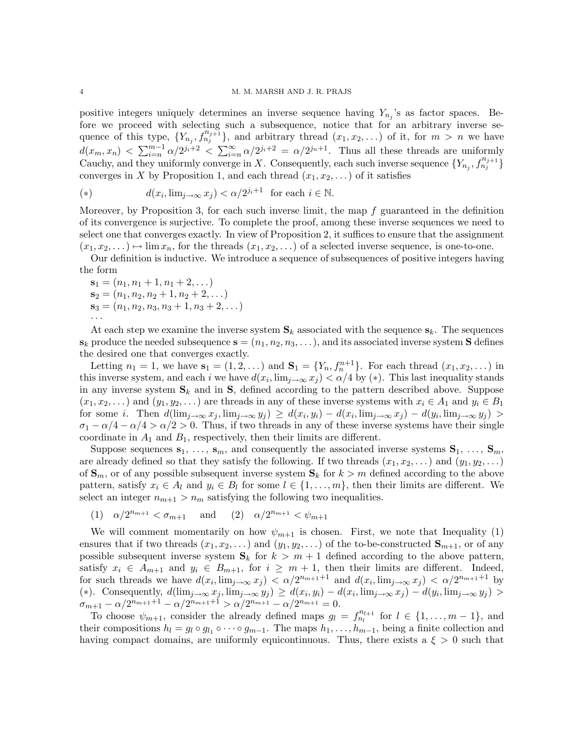positive integers uniquely determines an inverse sequence having  $Y_{n_j}$ 's as factor spaces. Before we proceed with selecting such a subsequence, notice that for an arbitrary inverse sequence of this type,  $\{Y_{n_j}, f_{n_j+1}^{n_j+1}\}$ , and arbitrary thread  $(x_1, x_2, \ldots)$  of it, for  $m > n$  we have  $d(x_m, x_n) < \sum_{i=n}^{m-1} \alpha/2^{j_i+2} < \sum_{i=n}^{\infty} \alpha/2^{j_i+2} = \alpha/2^{j_n+1}$ . Thus all these threads are uniformly Cauchy, and they uniformly converge in X. Consequently, each such inverse sequence  $\{Y_{n_j}, f_{n_j}^{n_{j+1}}\}$ converges in X by Proposition 1, and each thread  $(x_1, x_2, \ldots)$  of it satisfies

(\*) 
$$
d(x_i, \lim_{j \to \infty} x_j) < \alpha/2^{j_i+1} \quad \text{for each } i \in \mathbb{N}.
$$

Moreover, by Proposition 3, for each such inverse limit, the map  $f$  guaranteed in the definition of its convergence is surjective. To complete the proof, among these inverse sequences we need to select one that converges exactly. In view of Proposition 2, it suffices to ensure that the assignment  $(x_1, x_2, \ldots) \mapsto \lim x_n$ , for the threads  $(x_1, x_2, \ldots)$  of a selected inverse sequence, is one-to-one.

Our definition is inductive. We introduce a sequence of subsequences of positive integers having the form

 $\mathbf{s}_1 = (n_1, n_1 + 1, n_1 + 2, \dots)$  $\mathbf{s}_2 = (n_1, n_2, n_2 + 1, n_2 + 2, \dots)$  $\mathbf{s}_3 = (n_1, n_2, n_3, n_3 + 1, n_3 + 2, \dots)$ 

At each step we examine the inverse system  $S_k$  associated with the sequence  $s_k$ . The sequences  $\mathbf{s}_k$  produce the needed subsequence  $\mathbf{s} = (n_1, n_2, n_3, \dots)$ , and its associated inverse system **S** defines the desired one that converges exactly.

Letting  $n_1 = 1$ , we have  $s_1 = (1, 2, ...)$  and  $S_1 = \{Y_n, f_n^{n+1}\}$ . For each thread  $(x_1, x_2, ...)$  in this inverse system, and each i we have  $d(x_i, \lim_{j\to\infty} x_j) < \alpha/4$  by (\*). This last inequality stands in any inverse system  $S_k$  and in  $S$ , defined according to the pattern described above. Suppose  $(x_1, x_2, \ldots)$  and  $(y_1, y_2, \ldots)$  are threads in any of these inverse systems with  $x_i \in A_1$  and  $y_i \in B_1$ for some *i*. Then  $d(\lim_{j\to\infty}x_j,\lim_{j\to\infty}y_j) \geq d(x_i,y_i) - d(x_i,\lim_{j\to\infty}x_j) - d(y_i,\lim_{j\to\infty}y_j)$  $\sigma_1 - \alpha/4 - \alpha/4 > \alpha/2 > 0$ . Thus, if two threads in any of these inverse systems have their single coordinate in  $A_1$  and  $B_1$ , respectively, then their limits are different.

Suppose sequences  $s_1, \ldots, s_m$ , and consequently the associated inverse systems  $S_1, \ldots, S_m$ , are already defined so that they satisfy the following. If two threads  $(x_1, x_2, \ldots)$  and  $(y_1, y_2, \ldots)$ of  $\mathbf{S}_m$ , or of any possible subsequent inverse system  $\mathbf{S}_k$  for  $k > m$  defined according to the above pattern, satisfy  $x_i \in A_l$  and  $y_i \in B_l$  for some  $l \in \{1, ..., m\}$ , then their limits are different. We select an integer  $n_{m+1} > n_m$  satisfying the following two inequalities.

(1)  $\alpha/2^{n_{m+1}} < \sigma_{m+1}$  and (2)  $\alpha/2^{n_{m+1}} < \psi_{m+1}$ 

We will comment momentarily on how  $\psi_{m+1}$  is chosen. First, we note that Inequality (1) ensures that if two threads  $(x_1, x_2, \ldots)$  and  $(y_1, y_2, \ldots)$  of the to-be-constructed  $\mathbf{S}_{m+1}$ , or of any possible subsequent inverse system  $S_k$  for  $k > m + 1$  defined according to the above pattern, satisfy  $x_i \in A_{m+1}$  and  $y_i \in B_{m+1}$ , for  $i \geq m+1$ , then their limits are different. Indeed, for such threads we have  $d(x_i, \lim_{j\to\infty} x_j) < \alpha/2^{n_{m+1}+1}$  and  $d(x_i, \lim_{j\to\infty} x_j) < \alpha/2^{n_{m+1}+1}$  by (\*). Consequently,  $d(\lim_{j\to\infty} x_j, \lim_{j\to\infty} y_j) \geq d(x_i, y_i) - d(x_i, \lim_{j\to\infty} x_j) - d(y_i, \lim_{j\to\infty} y_j)$  $\sigma_{m+1} - \alpha/2^{n_{m+1}+1} - \alpha/2^{n_{m+1}+1} > \alpha/2^{n_{m+1}} - \alpha/2^{n_{m+1}} = 0.$ 

To choose  $\psi_{m+1}$ , consider the already defined maps  $g_l = f_{n_l}^{n_{l+1}}$  for  $l \in \{1, ..., m-1\}$ , and their compositions  $h_l = g_l \circ g_{l_1} \circ \cdots \circ g_{m-1}$ . The maps  $h_1, \ldots, h_{m-1}$ , being a finite collection and having compact domains, are uniformly equicontinuous. Thus, there exists a  $\xi > 0$  such that

· · ·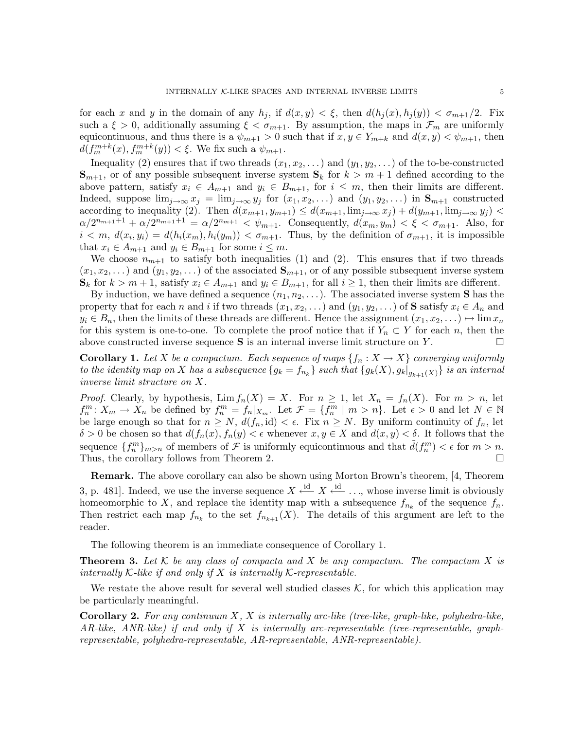for each x and y in the domain of any  $h_j$ , if  $d(x, y) < \xi$ , then  $d(h_i(x), h_i(y)) < \sigma_{m+1}/2$ . Fix such a  $\xi > 0$ , additionally assuming  $\xi < \sigma_{m+1}$ . By assumption, the maps in  $\mathcal{F}_m$  are uniformly equicontinuous, and thus there is a  $\psi_{m+1} > 0$  such that if  $x, y \in Y_{m+k}$  and  $d(x, y) < \psi_{m+1}$ , then  $d(f_m^{m+k}(x), f_m^{m+k}(y)) < \xi$ . We fix such a  $\psi_{m+1}$ .

Inequality (2) ensures that if two threads  $(x_1, x_2, \ldots)$  and  $(y_1, y_2, \ldots)$  of the to-be-constructed  $\mathbf{S}_{m+1}$ , or of any possible subsequent inverse system  $\mathbf{S}_k$  for  $k > m+1$  defined according to the above pattern, satisfy  $x_i \in A_{m+1}$  and  $y_i \in B_{m+1}$ , for  $i \leq m$ , then their limits are different. Indeed, suppose  $\lim_{j\to\infty} x_j = \lim_{j\to\infty} y_j$  for  $(x_1, x_2, \ldots)$  and  $(y_1, y_2, \ldots)$  in  $\mathbf{S}_{m+1}$  constructed according to inequality (2). Then  $d(x_{m+1}, y_{m+1}) \leq d(x_{m+1}, \lim_{j \to \infty} x_j) + d(y_{m+1}, \lim_{j \to \infty} y_j)$  $\alpha/2^{n_{m+1}+1} + \alpha/2^{n_{m+1}+1} = \alpha/2^{n_{m+1}} < \psi_{m+1}$ . Consequently,  $d(x_m, y_m) < \xi < \sigma_{m+1}$ . Also, for  $i < m, d(x_i, y_i) = d(h_i(x_m), h_i(y_m)) < \sigma_{m+1}$ . Thus, by the definition of  $\sigma_{m+1}$ , it is impossible that  $x_i \in A_{m+1}$  and  $y_i \in B_{m+1}$  for some  $i \leq m$ .

We choose  $n_{m+1}$  to satisfy both inequalities (1) and (2). This ensures that if two threads  $(x_1, x_2, \ldots)$  and  $(y_1, y_2, \ldots)$  of the associated  $\mathbf{S}_{m+1}$ , or of any possible subsequent inverse system  $\mathbf{S}_k$  for  $k > m+1$ , satisfy  $x_i \in A_{m+1}$  and  $y_i \in B_{m+1}$ , for all  $i \ge 1$ , then their limits are different.

By induction, we have defined a sequence  $(n_1, n_2, \ldots)$ . The associated inverse system **S** has the property that for each n and i if two threads  $(x_1, x_2, \ldots)$  and  $(y_1, y_2, \ldots)$  of S satisfy  $x_i \in A_n$  and  $y_i \in B_n$ , then the limits of these threads are different. Hence the assignment  $(x_1, x_2, \ldots) \mapsto \lim x_n$ for this system is one-to-one. To complete the proof notice that if  $Y_n \subset Y$  for each n, then the above constructed inverse sequence  $S$  is an internal inverse limit structure on Y.

**Corollary 1.** Let X be a compactum. Each sequence of maps  $\{f_n : X \to X\}$  converging uniformly to the identity map on X has a subsequence  $\{g_k=f_{n_k}\}$  such that  $\{g_k(X), g_k|_{g_{k+1}(X)}\}$  is an internal inverse limit structure on X.

*Proof.* Clearly, by hypothesis,  $\lim f_n(X) = X$ . For  $n \geq 1$ , let  $X_n = f_n(X)$ . For  $m > n$ , let  $f_n^m: X_m \to X_n$  be defined by  $f_n^m = f_n |_{X_m}$ . Let  $\mathcal{F} = \{f_n^m \mid m > n\}$ . Let  $\epsilon > 0$  and let  $N \in \mathbb{N}$ be large enough so that for  $n \geq N$ ,  $d(f_n, id) < \epsilon$ . Fix  $n \geq N$ . By uniform continuity of  $f_n$ , let  $\delta > 0$  be chosen so that  $d(f_n(x), f_n(y) < \epsilon$  whenever  $x, y \in X$  and  $d(x, y) < \delta$ . It follows that the sequence  $\{f_n^m\}_{m>n}$  of members of  $\mathcal F$  is uniformly equicontinuous and that  $\tilde d(f_n^m) < \epsilon$  for  $m > n$ . Thus, the corollary follows from Theorem 2.

Remark. The above corollary can also be shown using Morton Brown's theorem, [4, Theorem 3, p. 481]. Indeed, we use the inverse sequence  $X \stackrel{\text{id}}{\longleftarrow} X \stackrel{\text{id}}{\longleftarrow} \dots$ , whose inverse limit is obviously homeomorphic to X, and replace the identity map with a subsequence  $f_{n_k}$  of the sequence  $f_n$ . Then restrict each map  $f_{n_k}$  to the set  $f_{n_{k+1}}(X)$ . The details of this argument are left to the reader.

The following theorem is an immediate consequence of Corollary 1.

**Theorem 3.** Let K be any class of compacta and X be any compactum. The compactum X is internally  $K$ -like if and only if  $X$  is internally  $K$ -representable.

We restate the above result for several well studied classes  $K$ , for which this application may be particularly meaningful.

**Corollary 2.** For any continuum  $X$ ,  $X$  is internally arc-like (tree-like, graph-like, polyhedra-like, AR-like, ANR-like) if and only if X is internally arc-representable (tree-representable, graphrepresentable, polyhedra-representable, AR-representable, ANR-representable).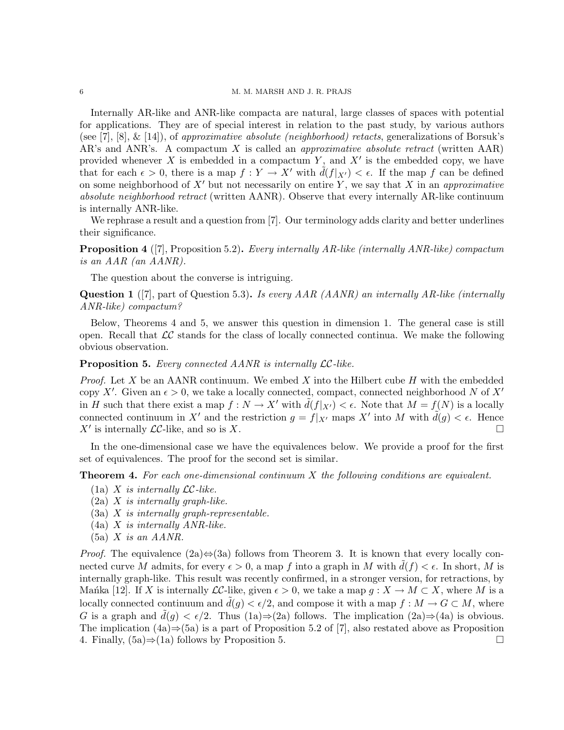## 6 M. M. MARSH AND J. R. PRAJS

Internally AR-like and ANR-like compacta are natural, large classes of spaces with potential for applications. They are of special interest in relation to the past study, by various authors (see [7], [8], & [14]), of approximative absolute (neighborhood) retacts, generalizations of Borsuk's AR's and ANR's. A compactum X is called an *approximative absolute retract* (written  $AAR$ ) provided whenever X is embedded in a compactum Y, and X' is the embedded copy, we have that for each  $\epsilon > 0$ , there is a map  $f: Y \to X'$  with  $d(f|_{X'}) < \epsilon$ . If the map f can be defined on some neighborhood of  $X'$  but not necessarily on entire Y, we say that X in an approximative absolute neighborhood retract (written AANR). Observe that every internally AR-like continuum is internally ANR-like.

We rephrase a result and a question from [7]. Our terminology adds clarity and better underlines their significance.

**Proposition 4** ([7], Proposition 5.2). Every internally AR-like (internally ANR-like) compactum is an AAR (an AANR).

The question about the converse is intriguing.

Question 1 ([7], part of Question 5.3). Is every AAR (AANR) an internally AR-like (internally ANR-like) compactum?

Below, Theorems 4 and 5, we answer this question in dimension 1. The general case is still open. Recall that  $\mathcal{LC}$  stands for the class of locally connected continua. We make the following obvious observation.

Proposition 5. Every connected AANR is internally LC-like.

*Proof.* Let X be an AANR continuum. We embed X into the Hilbert cube  $H$  with the embedded copy X'. Given an  $\epsilon > 0$ , we take a locally connected, compact, connected neighborhood N of X' in H such that there exist a map  $f: N \to X'$  with  $d(f|_{X'}) < \epsilon$ . Note that  $M = f(N)$  is a locally connected continuum in X' and the restriction  $g = f|_{X'}$  maps X' into M with  $\tilde{d}(g) < \epsilon$ . Hence  $X'$  is internally  $LC$ -like, and so is X.

In the one-dimensional case we have the equivalences below. We provide a proof for the first set of equivalences. The proof for the second set is similar.

**Theorem 4.** For each one-dimensional continuum  $X$  the following conditions are equivalent.

- (1a) X is internally  $\mathcal{LC}$ -like.
- $(2a)$  X is internally graph-like.
- $(3a)$  X is internally graph-representable.
- (4a) X is internally ANR-like.
- $(5a)$  X is an AANR.

*Proof.* The equivalence  $(2a) \Leftrightarrow (3a)$  follows from Theorem 3. It is known that every locally connected curve M admits, for every  $\epsilon > 0$ , a map f into a graph in M with  $d(f) < \epsilon$ . In short, M is internally graph-like. This result was recently confirmed, in a stronger version, for retractions, by Manka [12]. If X is internally  $\mathcal{LC}$ -like, given  $\epsilon > 0$ , we take a map  $g: X \to M \subset X$ , where M is a locally connected continuum and  $\tilde{d}(g) < \epsilon/2$ , and compose it with a map  $f : M \to G \subset M$ , where G is a graph and  $d(g) < \epsilon/2$ . Thus (1a)⇒(2a) follows. The implication (2a)⇒(4a) is obvious. The implication  $(4a) \Rightarrow (5a)$  is a part of Proposition 5.2 of [7], also restated above as Proposition 4. Finally,  $(5a) \Rightarrow (1a)$  follows by Proposition 5. □